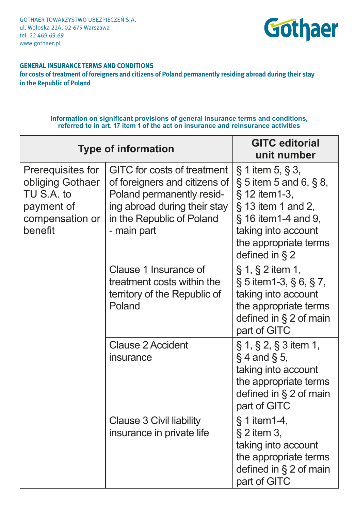Gothaer Towarzystwo Ubezpieczeń S.A. ul. Wołoska 22A, 02-675 Warszawa tel. 22 469 69 69 www.gothaer.pl



# **GENERAL INSURANCE TERMS AND CONDITIONS**

**for costs of treatment of foreigners and citizens of Poland permanently residing abroad during their stay in the Republic of Poland**

## **Information on significant provisions of general insurance terms and conditions, referred to in art. 17 item 1 of the act on insurance and reinsurance activities**

| <b>Type of information</b>                                                                      |                                                                                                                                                                              | <b>GITC editorial</b><br>unit number                                                                                                                                                          |
|-------------------------------------------------------------------------------------------------|------------------------------------------------------------------------------------------------------------------------------------------------------------------------------|-----------------------------------------------------------------------------------------------------------------------------------------------------------------------------------------------|
| Prerequisites for<br>obliging Gothaer<br>TU S.A. to<br>payment of<br>compensation or<br>benefit | <b>GITC</b> for costs of treatment<br>of foreigners and citizens of<br>Poland permanently resid-<br>ing abroad during their stay<br>in the Republic of Poland<br>- main part | $\S$ 1 item 5, $\S$ 3,<br>$\S 5$ item 5 and 6, $\S 8$ ,<br>§ 12 item1-3,<br>$\S$ 13 item 1 and 2,<br>§ 16 item1-4 and 9,<br>taking into account<br>the appropriate terms<br>defined in $\S 2$ |
|                                                                                                 | Clause 1 Insurance of<br>treatment costs within the<br>territory of the Republic of<br>Poland                                                                                | $\S 1, \S 2$ item 1,<br>$\S 5$ item 1-3, $\S 6$ , $\S 7$ ,<br>taking into account<br>the appropriate terms<br>defined in $\S 2$ of main<br>part of GITC                                       |
|                                                                                                 | Clause 2 Accident<br>insurance                                                                                                                                               | $\S 1, \S 2, \S 3$ item 1,<br>$\S 4$ and $\S 5$ ,<br>taking into account<br>the appropriate terms<br>defined in § 2 of main<br>part of GITC                                                   |
|                                                                                                 | Clause 3 Civil liability<br>insurance in private life                                                                                                                        | $§ 1$ item 1-4,<br>$\S 2$ item 3,<br>taking into account<br>the appropriate terms<br>defined in § 2 of main<br>part of GITC                                                                   |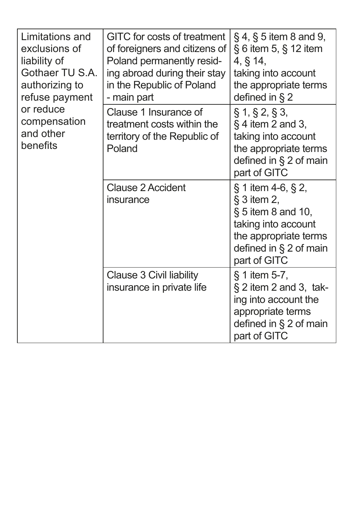| Limitations and<br>exclusions of<br>liability of<br>Gothaer TU S.A.<br>authorizing to<br>refuse payment<br>or reduce<br>compensation<br>and other<br>benefits | <b>GITC</b> for costs of treatment<br>of foreigners and citizens of<br>Poland permanently resid-<br>ing abroad during their stay<br>in the Republic of Poland<br>- main part | $\S 4, \S 5$ item 8 and 9,<br>$\S$ 6 item 5, $\S$ 12 item<br>4, § 14,<br>taking into account<br>the appropriate terms<br>defined in $\S$ 2                       |
|---------------------------------------------------------------------------------------------------------------------------------------------------------------|------------------------------------------------------------------------------------------------------------------------------------------------------------------------------|------------------------------------------------------------------------------------------------------------------------------------------------------------------|
|                                                                                                                                                               | Clause 1 Insurance of<br>treatment costs within the<br>territory of the Republic of<br>Poland                                                                                | $\S 1, \S 2, \S 3,$<br>$\S$ 4 item 2 and 3,<br>taking into account<br>the appropriate terms<br>defined in $\S 2$ of main<br>part of GITC                         |
|                                                                                                                                                               | <b>Clause 2 Accident</b><br>insurance                                                                                                                                        | $\S 1$ item 4-6, $\S 2$ ,<br>$§$ 3 item 2,<br>$\S$ 5 item 8 and 10,<br>taking into account<br>the appropriate terms<br>defined in $\S 2$ of main<br>part of GITC |
|                                                                                                                                                               | Clause 3 Civil liability<br>insurance in private life                                                                                                                        | $\S$ 1 item 5-7,<br>$\S 2$ item 2 and 3, tak-<br>ing into account the<br>appropriate terms<br>defined in $\S 2$ of main<br>part of GITC                          |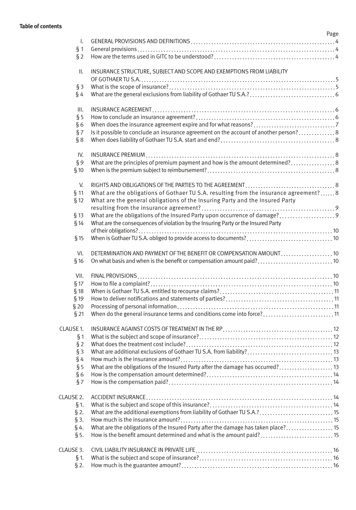### **Table of contents**

|                 | Page                                                                                 |
|-----------------|--------------------------------------------------------------------------------------|
| Ι.              |                                                                                      |
| § 1             |                                                                                      |
| §2              |                                                                                      |
| $\mathbf{II}$ . | INSURANCE STRUCTURE, SUBJECT AND SCOPE AND EXEMPTIONS FROM LIABILITY                 |
|                 |                                                                                      |
| §З              |                                                                                      |
| $\S$ 4          |                                                                                      |
| Ш.              |                                                                                      |
| § 5             |                                                                                      |
| §6              |                                                                                      |
| §7              |                                                                                      |
| § 8             |                                                                                      |
| IV.             |                                                                                      |
| ξ9              | What are the principles of premium payment and how is the amount determined?8        |
| § 10            |                                                                                      |
| V.              |                                                                                      |
| $§$ 11          | What are the obligations of Gothaer TU S.A. resulting from the insurance agreement?8 |
| § 12            | What are the general obligations of the Insuring Party and the Insured Party         |
|                 |                                                                                      |
| $§$ 13          | What are the obligations of the Insured Party upon occurrence of damage?             |
| §14             | What are the consequences of violation by the Insuring Party or the Insured Party    |
|                 |                                                                                      |
| $§$ 15          |                                                                                      |
| VI.             |                                                                                      |
| §16             | On what basis and when is the benefit or compensation amount paid?10                 |
| VII.            |                                                                                      |
| § 17            |                                                                                      |
| § 18            |                                                                                      |
| § 19            |                                                                                      |
| §20             |                                                                                      |
| §21             | When do the general insurance terms and conditions come into force?11                |
| CLAUSE 1.       |                                                                                      |
| § 1             |                                                                                      |
| §2              |                                                                                      |
| $§$ 3           | What are additional exclusions of Gothaer TU S.A. from liability?13                  |
| $\S$ 4          |                                                                                      |
| § 5             | What are the obligations of the Insured Party after the damage has occurred? 13      |
| §6              |                                                                                      |
| §7              |                                                                                      |
| CLAUSE 2.       |                                                                                      |
| § 1.            |                                                                                      |
| $\S 2.$         | What are the additional exemptions from liability of Gothaer TU S.A.? 15             |
| $\S$ 3.         |                                                                                      |
| §4.             | What are the obligations of the Insured Party after the damage has taken place?15    |
| $§$ 5.          | How is the benefit amount determined and what is the amount paid? 15                 |
| CLAUSE 3.       |                                                                                      |
| § 1.            |                                                                                      |
| $§$ 2.          |                                                                                      |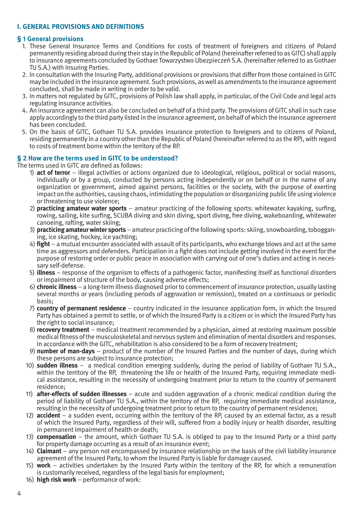# **I. GENERAL PROVISIONS AND DEFINITIONS**

#### **§ 1 General provisions**

- 1. These General Insurance Terms and Conditions for costs of treatment of foreigners and citizens of Poland permanently residing abroad during their stay in the Republic of Poland (hereinafter referred to as GITC) shall apply to insurance agreements concluded by Gothaer Towarzystwo Ubezpieczeń S.A. (hereinafter referred to as Gothaer TU S.A.) with Insuring Parties.
- 2. In consultation with the Insuring Party, additional provisions or provisions that differ from those contained in GITC may be included in the insurance agreement. Such provisions, as well as amendments to the insurance agreement concluded, shall be made in writing in order to be valid.
- 3. In matters not regulated by GITC, provisions of Polish law shall apply, in particular, of the Civil Code and legal acts regulating insurance activities.
- 4. An insurance agreement can also be concluded on behalf of a third party. The provisions of GITC shall in such case apply accordingly to the third party listed in the insurance agreement, on behalf of which the insurance agreement has been concluded.
- 5. On the basis of GITC, Gothaer TU S.A. provides insurance protection to foreigners and to citizens of Poland, residing permanently in a country other than the Republic of Poland (hereinafter referred to as the RP), with regard to costs of treatment borne within the territory of the RP.

#### **§ 2 How are the terms used in GITC to be understood?**

The terms used in GITC are defined as follows:

- 1) **act of terror** illegal activities or actions organized due to ideological, religious, political or social reasons, individually or by a group, conducted by persons acting independently or on behalf or in the name of any organization or government, aimed against persons, facilities or the society, with the purpose of exerting impact on the authorities, causing chaos, intimidating the population or disorganizing public life using violence or threatening to use violence;
- 2) **practicing amateur water sports** amateur practicing of the following sports: whitewater kayaking, surfing, rowing, sailing, kite surfing, SCUBA diving and skin diving, sport diving, free diving, wakeboarding, whitewater canoeing, rafting, water skiing;
- 3) **practicing amateur winter sports** amateur practicing of the following sports: skiing, snowboarding, tobogganing, ice skating, hockey, ice yachting;
- 4) **fight** a mutual encounter associated with assault of its participants, who exchange blows and act at the same time as aggressors and defenders. Participation in a fight does not include getting involved in the event for the purpose of restoring order or public peace in association with carrying out of one's duties and acting in necessary self-defense.
- 5) **illness** response of the organism to effects of a pathogenic factor, manifesting itself as functional disorders or impairment of structure of the body, causing adverse effects;
- 6) **chronic illness** a long-term illness diagnosed prior to commencement of insurance protection, usually lasting several months or years (including periods of aggravation or remission), treated on a continuous or periodic basis;
- 7) **country of permanent residence** country indicated in the insurance application form, in which the Insured Party has obtained a permit to settle, or of which the Insured Party is a citizen or in which the Insured Party has the right to social insurance;
- 8) **recovery treatment** medical treatment recommended by a physician, aimed at restoring maximum possible medical fitness of the musculoskeletal and nervous system and elimination of mental disorders and responses. In accordance with the GITC, rehabilitation is also considered to be a form of recovery treatment;
- 9) **number of man-days** product of the number of the Insured Parties and the number of days, during which these persons are subject to insurance protection;
- 10) **sudden illness** a medical condition emerging suddenly, during the period of liability of Gothaer TU S.A., within the territory of the RP, threatening the life or health of the Insured Party, requiring immediate medical assistance, resulting in the necessity of undergoing treatment prior to return to the country of permanent residence;
- 11) **after-effects of sudden illnesses** acute and sudden aggravation of a chronic medical condition during the period of liability of Gothaer TU S.A., within the territory of the RP, requiring immediate medical assistance, resulting in the necessity of undergoing treatment prior to return to the country of permanent residence;
- 12) **accident** a sudden event, occurring within the territory of the RP, caused by an external factor, as a result of which the Insured Party, regardless of their will, suffered from a bodily injury or health disorder, resulting in permanent impairment of health or death;
- 13) **compensation** the amount, which Gothaer TU S.A. is obliged to pay to the Insured Party or a third party for property damage occurring as a result of an insurance event;
- 14) **Claimant** any person not encompassed by insurance relationship on the basis of the civil liability insurance agreement of the Insured Party, to whom the Insured Party is liable for damage caused.
- 15) **work** activities undertaken by the Insured Party within the territory of the RP, for which a remuneration is customarily received, regardless of the legal basis for employment;
- 16) **high risk work** performance of work: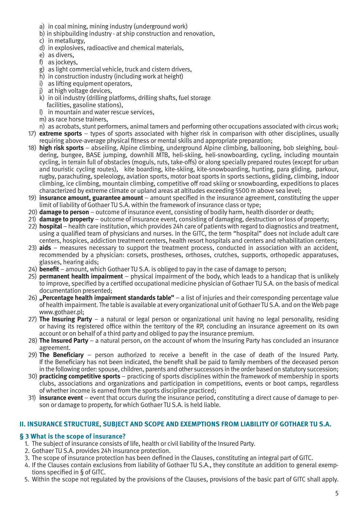- a) in coal mining, mining industry (underground work)
- b) in shipbuilding industry at ship construction and renovation,
- c) in metallurgy,
- d) in explosives, radioactive and chemical materials,
- e) as divers,
- f) as jockeys,
- g) as light commercial vehicle, truck and cistern drivers,
- h) in construction industry (including work at height)
- i) as lifting equipment operators,
- i) at high voltage devices.
- k) in oil industry (drilling platforms, drilling shafts, fuel storage facilities, gasoline stations),
- l) in mountain and water rescue services,
- m) as race horse trainers,
- n) as acrobats, stunt performers, animal tamers and performing other occupations associated with circus work;
- 17) **extreme sports** types of sports associated with higher risk in comparison with other disciplines, usually requiring above-average physical fitness or mental skills and appropriate preparation;
- 18) **high risk sports** abseiling, Alpine climbing, underground Alpine climbing, ballooning, bob sleighing, bouldering, bungee, BASE jumping, downhill MTB, heli-skiing, heli-snowboarding, cycling, including mountain cycling, in terrain full of obstacles (moguls, ruts, take-offs) or along specially prepared routes (except for urban and touristic cycling routes), kite boarding, kite-skiing, kite-snowboarding, hunting, para gliding, parkour, rugby, parachuting, speleology, aviation sports, motor boat sports in sports sections, gliding, climbing, indoor climbing, ice climbing, mountain climbing, competitive off road skiing or snowboarding, expeditions to places characterized by extreme climate or upland areas at altitudes exceeding 5500 m above sea level;
- 19) **insurance amount, guarantee amount** amount specified in the insurance agreement, constituting the upper limit of liability of Gothaer TU S.A. within the framework of insurance class or type;
- 20) **damage to person** outcome of insurance event, consisting of bodily harm, health disorder or death;
- 21) **damage to property** outcome of insurance event, consisting of damaging, destruction or loss of property;
- 22) **hospital** health care institution, which provides 24h care of patients with regard to diagnostics and treatment, using a qualified team of physicians and nurses. In the GITC, the term "hospital" does not include adult care centers, hospices, addiction treatment centers, health resort hospitals and centers and rehabilitation centers;
- 23) **aids** measures necessary to support the treatment process, conducted in association with an accident, recommended by a physician: corsets, prostheses, orthoses, crutches, supports, orthopedic apparatuses, glasses, hearing aids;
- 24) **benefit** amount, which Gothaer TU S.A. is obliged to pay in the case of damage to person;
- 25) **permanent health impairment** physical impairment of the body, which leads to a handicap that is unlikely to improve, specified by a certified occupational medicine physician of Gothaer TU S.A. on the basis of medical documentation presented;
- 26) **"Percentage health impairment standards table"** a list of injuries and their corresponding percentage value of health impairment. The table is available at every organizational unit of Gothaer TU S.A. and on the Web page www.gothaer.pl;
- 27) **The Insuring Party** a natural or legal person or organizational unit having no legal personality, residing or having its registered office within the territory of the RP, concluding an insurance agreement on its own account or on behalf of a third party and obliged to pay the insurance premium.
- 28) **The Insured Party** a natural person, on the account of whom the Insuring Party has concluded an insurance agreement.
- 29) **The Beneficiary** person authorized to receive a benefit in the case of death of the Insured Party. If the Beneficiary has not been indicated, the benefit shall be paid to family members of the deceased person in the following order: spouse, children, parents and other successors in the order based on statutory succession;
- 30) **practicing competitive sports** practicing of sports disciplines within the framework of membership in sports clubs, associations and organizations and participation in competitions, events or boot camps, regardless of whether income is earned from the sports discipline practiced;
- 31) **insurance event**  event that occurs during the insurance period, constituting a direct cause of damage to person or damage to property, for which Gothaer TU S.A. is held liable.

# **II. INSURANCE STRUCTURE, SUBJECT AND SCOPE AND EXEMPTIONS FROM LIABILITY OF GOTHAER TU S.A.**

# **§ 3 What is the scope of insurance?**

- 1. The subject of insurance consists of life, health or civil liability of the Insured Party.
- 2. Gothaer TU S.A. provides 24h insurance protection.
- 3. The scope of insurance protection has been defined in the Clauses, constituting an integral part of GITC.
- 4. If the Clauses contain exclusions from liability of Gothaer TU S.A., they constitute an addition to general exemptions specified in § of GITC.
- 5. Within the scope not regulated by the provisions of the Clauses, provisions of the basic part of GITC shall apply.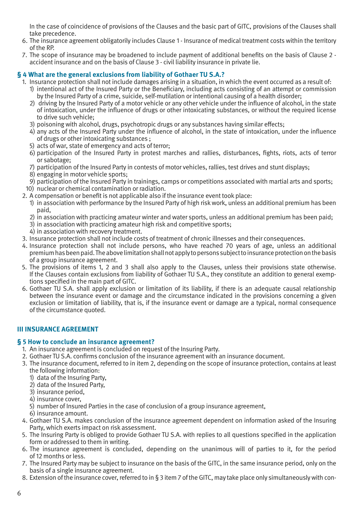In the case of coincidence of provisions of the Clauses and the basic part of GITC, provisions of the Clauses shall take precedence.

- 6. The insurance agreement obligatorily includes Clause 1 Insurance of medical treatment costs within the territory of the RP.
- 7. The scope of insurance may be broadened to include payment of additional benefits on the basis of Clause 2 accident insurance and on the basis of Clause 3 - civil liability insurance in private lie.

# **§ 4 What are the general exclusions from liability of Gothaer TU S.A.?**

- 1. Insurance protection shall not include damages arising in a situation, in which the event occurred as a result of:
	- 1) intentional act of the Insured Party or the Beneficiary, including acts consisting of an attempt or commission by the Insured Party of a crime, suicide, self-mutilation or intentional causing of a health disorder;
	- 2) driving by the Insured Party of a motor vehicle or any other vehicle under the influence of alcohol, in the state of intoxication, under the influence of drugs or other intoxicating substances, or without the required license to drive such vehicle;
	- 3) poisoning with alcohol, drugs, psychotropic drugs or any substances having similar effects;
	- 4) any acts of the Insured Party under the influence of alcohol, in the state of intoxication, under the influence of drugs or other intoxicating substances ;
	- 5) acts of war, state of emergency and acts of terror;
	- 6) participation of the Insured Party in protest marches and rallies, disturbances, fights, riots, acts of terror or sabotage;
	- 7) participation of the Insured Party in contests of motor vehicles, rallies, test drives and stunt displays;
	- 8) engaging in motor vehicle sports;
	- 9) participation of the Insured Party in trainings, camps or competitions associated with martial arts and sports;
- 10) nuclear or chemical contamination or radiation.
- 2. A compensation or benefit is not applicable also if the insurance event took place:
	- 1) in association with performance by the Insured Party of high risk work, unless an additional premium has been paid,
	- 2) in association with practicing amateur winter and water sports, unless an additional premium has been paid;
	- 3) in association with practicing amateur high risk and competitive sports;
	- 4) in association with recovery treatment.
- 3. Insurance protection shall not include costs of treatment of chronic illnesses and their consequences.
- 4. Insurance protection shall not include persons, who have reached 70 years of age, unless an additional premium has been paid. The above limitation shall not apply to persons subject to insurance protection on the basis of a group insurance agreement.
- 5. The provisions of items 1, 2 and 3 shall also apply to the Clauses, unless their provisions state otherwise. If the Clauses contain exclusions from liability of Gothaer TU S.A., they constitute an addition to general exemptions specified in the main part of GITC.
- 6. Gothaer TU S.A. shall apply exclusion or limitation of its liability, if there is an adequate causal relationship between the insurance event or damage and the circumstance indicated in the provisions concerning a given exclusion or limitation of liability, that is, if the insurance event or damage are a typical, normal consequence of the circumstance quoted.

# **III INSURANCE AGREEMENT**

## **§ 5 How to conclude an insurance agreement?**

- 1. An insurance agreement is concluded on request of the Insuring Party.
- 2. Gothaer TU S.A. confirms conclusion of the insurance agreement with an insurance document.
- 3. The insurance document, referred to in item 2, depending on the scope of insurance protection, contains at least the following information:
	- 1) data of the Insuring Party,
	- 2) data of the Insured Party,
	- 3) insurance period,
	- 4) insurance cover,
	- 5) number of Insured Parties in the case of conclusion of a group insurance agreement,
	- 6) insurance amount.
- 4. Gothaer TU S.A. makes conclusion of the insurance agreement dependent on information asked of the Insuring Party, which exerts impact on risk assessment.
- 5. The Insuring Party is obliged to provide Gothaer TU S.A. with replies to all questions specified in the application form or addressed to them in writing.
- 6. The insurance agreement is concluded, depending on the unanimous will of parties to it, for the period of 12 months or less.
- 7. The Insured Party may be subject to insurance on the basis of the GITC, in the same insurance period, only on the basis of a single insurance agreement.
- 8. Extension of the insurance cover, referred to in § 3 item 7 of the GITC, may take place only simultaneously with con-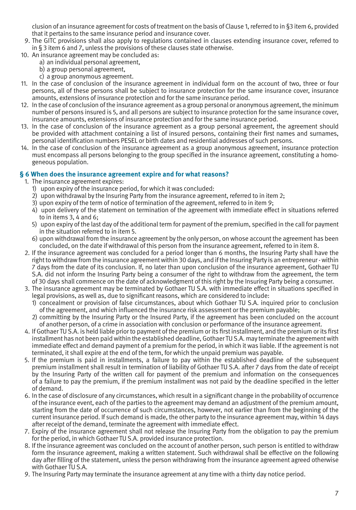clusion of an insurance agreement for costs of treatment on the basis of Clause 1, referred to in §3 item 6, provided that it pertains to the same insurance period and insurance cover.

- 9. The GITC provisions shall also apply to regulations contained in clauses extending insurance cover, referred to in § 3 item 6 and 7, unless the provisions of these clauses state otherwise.
- 10. An insurance agreement may be concluded as:
	- a) an individual personal agreement,
	- b) a group personal agreement,
	- c) a group anonymous agreement.
- 11. In the case of conclusion of the insurance agreement in individual form on the account of two, three or four persons, all of these persons shall be subject to insurance protection for the same insurance cover, insurance amounts, extensions of insurance protection and for the same insurance period.
- 12. In the case of conclusion of the insurance agreement as a group personal or anonymous agreement, the minimum number of persons insured is 5, and all persons are subject to insurance protection for the same insurance cover, insurance amounts, extensions of insurance protection and for the same insurance period.
- 13. In the case of conclusion of the insurance agreement as a group personal agreement, the agreement should be provided with attachment containing a list of insured persons, containing their first names and surnames, personal identification numbers PESEL or birth dates and residential addresses of such persons.
- 14. In the case of conclusion of the insurance agreement as a group anonymous agreement, insurance protection must encompass all persons belonging to the group specified in the insurance agreement, constituting a homogeneous population.

# **§ 6 When does the insurance agreement expire and for what reasons?**

- 1. The insurance agreement expires:
	- 1) upon expiry of the insurance period, for which it was concluded:
	- 2) upon withdrawal by the Insuring Party from the insurance agreement, referred to in item 2;
	- 3) upon expiry of the term of notice of termination of the agreement, referred to in item 9;
	- 4) upon delivery of the statement on termination of the agreement with immediate effect in situations referred to in items 3, 4 and 6;
	- 5) upon expiry of the last day of the additional term for payment of the premium, specified in the call for payment in the situation referred to in item 5.
	- 6) upon withdrawal from the insurance agreement by the only person, on whose account the agreement has been concluded, on the date if withdrawal of this person from the insurance agreement, referred to in item 8.
- 2. If the insurance agreement was concluded for a period longer than 6 months, the Insuring Party shall have the right to withdraw from the insurance agreement within 30 days, and if the Insuring Party is an entrepreneur - within 7 days from the date of its conclusion. If, no later than upon conclusion of the insurance agreement, Gothaer TU S.A. did not inform the Insuring Party being a consumer of the right to withdraw from the agreement, the term of 30 days shall commence on the date of acknowledgment of this right by the Insuring Party being a consumer.
- 3. The insurance agreement may be terminated by Gothaer TU S.A. with immediate effect in situations specified in legal provisions, as well as, due to significant reasons, which are considered to include:
	- 1) concealment or provision of false circumstances, about which Gothaer TU S.A. inquired prior to conclusion of the agreement, and which influenced the insurance risk assessment or the premium payable;
	- 2) committing by the Insuring Party or the Insured Party, if the agreement has been concluded on the account of another person, of a crime in association with conclusion or performance of the insurance agreement.
- 4. If Gothaer TU S.A. is held liable prior to payment of the premium or its first installment, and the premium or its first installment has not been paid within the established deadline, Gothaer TU S.A. may terminate the agreement with immediate effect and demand payment of a premium for the period, in which it was liable. If the agreement is not terminated, it shall expire at the end of the term, for which the unpaid premium was payable.
- 5. If the premium is paid in installments, a failure to pay within the established deadline of the subsequent premium installment shall result in termination of liability of Gothaer TU S.A. after 7 days from the date of receipt by the Insuring Party of the written call for payment of the premium and information on the consequences of a failure to pay the premium, if the premium installment was not paid by the deadline specified in the letter of demand.
- 6. In the case of disclosure of any circumstances, which result in a significant change in the probability of occurrence of the insurance event, each of the parties to the agreement may demand an adjustment of the premium amount, starting from the date of occurrence of such circumstances, however, not earlier than from the beginning of the current insurance period. If such demand is made, the other party to the insurance agreement may, within 14 days after receipt of the demand, terminate the agreement with immediate effect.
- 7. Expiry of the insurance agreement shall not release the Insuring Party from the obligation to pay the premium for the period, in which Gothaer TU S.A. provided insurance protection.
- 8. If the insurance agreement was concluded on the account of another person, such person is entitled to withdraw form the insurance agreement, making a written statement. Such withdrawal shall be effective on the following day after filling of the statement, unless the person withdrawing from the insurance agreement agreed otherwise with Gothaer TU S.A.
- 9. The Insuring Party may terminate the insurance agreement at any time with a thirty day notice period.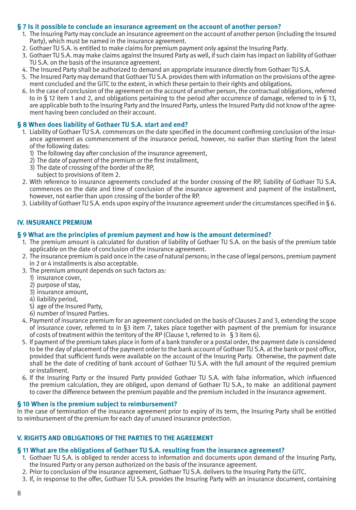## **§ 7 Is it possible to conclude an insurance agreement on the account of another person?**

- 1. The Insuring Party may conclude an insurance agreement on the account of another person (including the Insured Party), which must be named in the insurance agreement.
- 2. Gothaer TU S.A. is entitled to make claims for premium payment only against the Insuring Party.
- 3. Gothaer TU S.A. may make claims against the Insured Party as well, if such claim has impact on liability of Gothaer TU S.A. on the basis of the insurance agreement.
- 4. The Insured Party shall be authorized to demand an appropriate insurance directly from Gothaer TU S.A.
- 5. The Insured Party may demand that Gothaer TU S.A. provides them with information on the provisions of the agreement concluded and the GITC to the extent, in which these pertain to their rights and obligations.
- 6. In the case of conclusion of the agreement on the account of another person, the contractual obligations, referred to in § 12 item 1 and 2, and obligations pertaining to the period after occurrence of damage, referred to in § 13, are applicable both to the Insuring Party and the Insured Party, unless the Insured Party did not know of the agreement having been concluded on their account.

# **§ 8 When does liability of Gothaer TU S.A. start and end?**

- 1. Liability of Gothaer TU S.A. commences on the date specified in the document confirming conclusion of the insurance agreement as commencement of the insurance period, however, no earlier than starting from the latest of the following dates:
	- 1) The following day after conclusion of the insurance agreement,
	- 2) The date of payment of the premium or the first installment,
	- 3) The date of crossing of the border of the RP,
	- subject to provisions of item 2.
- 2. With reference to insurance agreements concluded at the border crossing of the RP, liability of Gothaer TU S.A. commences on the date and time of conclusion of the insurance agreement and payment of the installment, however, not earlier than upon crossing of the border of the RP.
- 3. Liability of Gothaer TU S.A. ends upon expiry of the insurance agreement under the circumstances specified in § 6.

# **IV. INSURANCE PREMIUM**

## **§ 9 What are the principles of premium payment and how is the amount determined?**

- 1. The premium amount is calculated for duration of liability of Gothaer TU S.A. on the basis of the premium table applicable on the date of conclusion of the insurance agreement.
- 2. The insurance premium is paid once in the case of natural persons; in the case of legal persons, premium payment in 2 or 4 installments is also acceptable.
- 3. The premium amount depends on such factors as:
	- 1) insurance cover,
	- 2) purpose of stay,
	- 3) insurance amount,
	- 4) liability period,
	- 5) age of the Insured Party,
	- 6) number of Insured Parties.
- 4. Payment of insurance premium for an agreement concluded on the basis of Clauses 2 and 3, extending the scope of insurance cover, referred to in §3 item 7, takes place together with payment of the premium for insurance of costs of treatment within the territory of the RP (Clause 1, referred to in  $\hat{S}$  3 item 6).
- 5. If payment of the premium takes place in form of a bank transfer or a postal order, the payment date is considered to be the day of placement of the payment order to the bank account of Gothaer TU S.A. at the bank or post office, provided that sufficient funds were available on the account of the Insuring Party. Otherwise, the payment date shall be the date of crediting of bank account of Gothaer TU S.A. with the full amount of the required premium or installment.
- 6. If the Insuring Party or the Insured Party provided Gothaer TU S.A. with false information, which influenced the premium calculation, they are obliged, upon demand of Gothaer TU S.A., to make an additional payment to cover the difference between the premium payable and the premium included in the insurance agreement.

## **§ 10 When is the premium subject to reimbursement?**

In the case of termination of the insurance agreement prior to expiry of its term, the Insuring Party shall be entitled to reimbursement of the premium for each day of unused insurance protection.

# **V. RIGHTS AND OBLIGATIONS OF THE PARTIES TO THE AGREEMENT**

## **§ 11 What are the obligations of Gothaer TU S.A. resulting from the insurance agreement?**

- 1. Gothaer TU S.A. is obliged to render access to information and documents upon demand of the Insuring Party, the Insured Party or any person authorized on the basis of the insurance agreement.
- 2. Prior to conclusion of the insurance agreement, Gothaer TU S.A. delivers to the Insuring Party the GITC.
- 3. If, in response to the offer, Gothaer TU S.A. provides the Insuring Party with an insurance document, containing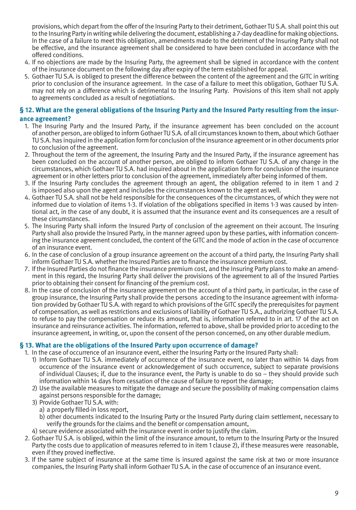provisions, which depart from the offer of the Insuring Party to their detriment, Gothaer TU S.A. shall point this out to the Insuring Party in writing while delivering the document, establishing a 7-day deadline for making objections. In the case of a failure to meet this obligation, amendments made to the detriment of the Insuring Party shall not be effective, and the insurance agreement shall be considered to have been concluded in accordance with the offered conditions.

- 4. If no objections are made by the Insuring Party, the agreement shall be signed in accordance with the content of the insurance document on the following day after expiry of the term established for appeal.
- 5. Gothaer TU S.A. is obliged to present the difference between the content of the agreement and the GITC in writing prior to conclusion of the insurance agreement. In the case of a failure to meet this obligation, Gothaer TU S.A. may not rely on a difference which is detrimental to the Insuring Party. Provisions of this item shall not apply to agreements concluded as a result of negotiations.

## **§ 12. What are the general obligations of the Insuring Party and the Insured Party resulting from the insurance agreement?**

- 1. The Insuring Party and the Insured Party, if the insurance agreement has been concluded on the account of another person, are obliged to inform Gothaer TU S.A. of all circumstances known to them, about which Gothaer TU S.A. has inquired in the application form for conclusion of the insurance agreement or in other documents prior to conclusion of the agreement.
- 2. Throughout the term of the agreement, the Insuring Party and the Insured Party, if the insurance agreement has been concluded on the account of another person, are obliged to inform Gothaer TU S.A. of any change in the circumstances, which Gothaer TU S.A. had inquired about in the application form for conclusion of the insurance agreement or in other letters prior to conclusion of the agreement, immediately after being informed of them.
- 3. If the Insuring Party concludes the agreement through an agent, the obligation referred to in item 1 and 2 is imposed also upon the agent and includes the circumstances known to the agent as well.
- 4. Gothaer TU S.A. shall not be held responsible for the consequences of the circumstances, of which they were not informed due to violation of items 1-3. If violation of the obligations specified in items 1-3 was caused by intentional act, in the case of any doubt, it is assumed that the insurance event and its consequences are a result of these circumstances.
- 5. The Insuring Party shall inform the Insured Party of conclusion of the agreement on their account. The Insuring Party shall also provide the Insured Party, in the manner agreed upon by these parties, with information concerning the insurance agreement concluded, the content of the GITC and the mode of action in the case of occurrence of an insurance event.
- 6. In the case of conclusion of a group insurance agreement on the account of a third party, the Insuring Party shall inform Gothaer TU S.A. whether the Insured Parties are to finance the insurance premium cost.
- 7. If the Insured Parties do not finance the insurance premium cost, and the Insuring Party plans to make an amendment in this regard, the Insuring Party shall deliver the provisions of the agreement to all of the Insured Parties prior to obtaining their consent for financing of the premium cost.
- 8. In the case of conclusion of the insurance agreement on the account of a third party, in particular, in the case of group insurance, the Insuring Party shall provide the persons acceding to the insurance agreement with information provided by Gothaer TU S.A. with regard to which provisions of the GITC specify the prerequisites for payment of compensation, as well as restrictions and exclusions of liability of Gothaer TU S.A., authorizing Gothaer TU S.A. to refuse to pay the compensation or reduce its amount, that is, information referred to in art. 17 of the act on insurance and reinsurance activities. The information, referred to above, shall be provided prior to acceding to the insurance agreement, in writing, or, upon the consent of the person concerned, on any other durable medium.

# **§ 13. What are the obligations of the Insured Party upon occurrence of damage?**

- 1. In the case of occurrence of an insurance event, either the Insuring Party or the Insured Party shall:
	- 1) Inform Gothaer TU S.A. immediately of occurrence of the insurance event, no later than within 14 days from occurrence of the insurance event or acknowledgement of such occurrence, subject to separate provisions of individual Clauses; if, due to the insurance event, the Party is unable to do so – they should provide such information within 14 days from cessation of the cause of failure to report the damage;
	- 2) Use the available measures to mitigate the damage and secure the possibility of making compensation claims against persons responsible for the damage;
	- 3) Provide Gothaer TU S.A. with:
		- a) a properly filled-in loss report,
		- b) other documents indicated to the Insuring Party or the Insured Party during claim settlement, necessary to verify the grounds for the claims and the benefit or compensation amount,
	- 4) secure evidence associated with the insurance event in order to justify the claim.
- 2. Gothaer TU S.A. is obliged, within the limit of the insurance amount, to return to the Insuring Party or the Insured Party the costs due to application of measures referred to in item 1 clause 2), if these measures were reasonable, even if they proved ineffective.
- 3. If the same subject of insurance at the same time is insured against the same risk at two or more insurance companies, the Insuring Party shall inform Gothaer TU S.A. in the case of occurrence of an insurance event.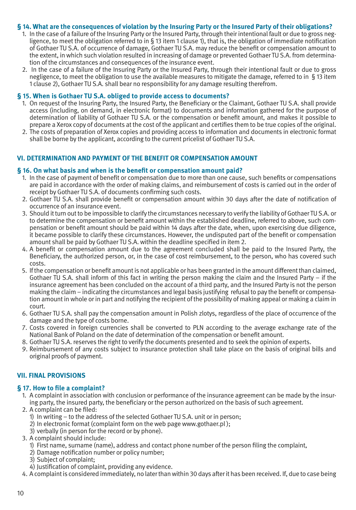#### **§ 14. What are the consequences of violation by the Insuring Party or the Insured Party of their obligations?**

- 1. In the case of a failure of the Insuring Party or the Insured Party, through their intentional fault or due to gross negligence, to meet the obligation referred to in § 13 item 1 clause 1), that is, the obligation of immediate notification of Gothaer TU S.A. of occurrence of damage, Gothaer TU S.A. may reduce the benefit or compensation amount to the extent, in which such violation resulted in increasing of damage or prevented Gothaer TU S.A. from determination of the circumstances and consequences of the insurance event.
- 2. In the case of a failure of the Insuring Party or the Insured Party, through their intentional fault or due to gross negligence, to meet the obligation to use the available measures to mitigate the damage, referred to in § 13 item 1 clause 2), Gothaer TU S.A. shall bear no responsibility for any damage resulting therefrom.

#### **§ 15. When is Gothaer TU S.A. obliged to provide access to documents?**

- 1. On request of the Insuring Party, the Insured Party, the Beneficiary or the Claimant, Gothaer TU S.A. shall provide access (including, on demand, in electronic format) to documents and information gathered for the purpose of determination of liability of Gothaer TU S.A. or the compensation or benefit amount, and makes it possible to prepare a Xerox copy of documents at the cost of the applicant and certifies them to be true copies of the original.
- 2. The costs of preparation of Xerox copies and providing access to information and documents in electronic format shall be borne by the applicant, according to the current pricelist of Gothaer TU S.A.

## **VI. DETERMINATION AND PAYMENT OF THE BENEFIT OR COMPENSATION AMOUNT**

#### **§ 16. On what basis and when is the benefit or compensation amount paid?**

- 1. In the case of payment of benefit or compensation due to more than one cause, such benefits or compensations are paid in accordance with the order of making claims, and reimbursement of costs is carried out in the order of receipt by Gothaer TU S.A. of documents confirming such costs.
- 2. Gothaer TU S.A. shall provide benefit or compensation amount within 30 days after the date of notification of occurrence of an insurance event.
- 3. Should it turn out to be impossible to clarify the circumstances necessary to verify the liability of Gothaer TU S.A. or to determine the compensation or benefit amount within the established deadline, referred to above, such compensation or benefit amount should be paid within 14 days after the date, when, upon exercising due diligence, it became possible to clarify these circumstances. However, the undisputed part of the benefit or compensation amount shall be paid by Gothaer TU S.A. within the deadline specified in item 2.
- 4. A benefit or compensation amount due to the agreement concluded shall be paid to the Insured Party, the Beneficiary, the authorized person, or, in the case of cost reimbursement, to the person, who has covered such costs.
- 5. If the compensation or benefit amount is not applicable or has been granted in the amount different than claimed, Gothaer TU S.A. shall inform of this fact in writing the person making the claim and the Insured Party – if the insurance agreement has been concluded on the account of a third party, and the Insured Party is not the person making the claim – indicating the circumstances and legal basis justifying refusal to pay the benefit or compensation amount in whole or in part and notifying the recipient of the possibility of making appeal or making a claim in court.
- 6. Gothaer TU S.A. shall pay the compensation amount in Polish zlotys, regardless of the place of occurrence of the damage and the type of costs borne.
- 7. Costs covered in foreign currencies shall be converted to PLN according to the average exchange rate of the National Bank of Poland on the date of determination of the compensation or benefit amount.
- 8. Gothaer TU S.A. reserves the right to verify the documents presented and to seek the opinion of experts.
- 9. Reimbursement of any costs subject to insurance protection shall take place on the basis of original bills and original proofs of payment.

## **VII. FINAL PROVISIONS**

## **§ 17. How to file a complaint?**

- 1. A complaint in association with conclusion or performance of the insurance agreement can be made by the insuring party, the insured party, the beneficiary or the person authorized on the basis of such agreement.
- 2. A complaint can be filed:
	- 1) In writing to the address of the selected Gothaer TU S.A. unit or in person;
	- $2)$  In electronic format (complaint form on the web page www.gothaer.pl);
	- 3) verbally (in person for the record or by phone).
- 3. A complaint should include:
	- 1) First name, surname (name), address and contact phone number of the person filing the complaint,
	- 2) Damage notification number or policy number;
	- 3) Subject of complaint;
	- 4) Justification of complaint, providing any evidence.
- 4. A complaint is considered immediately, no later than within 30 days after it has been received. If, due to case being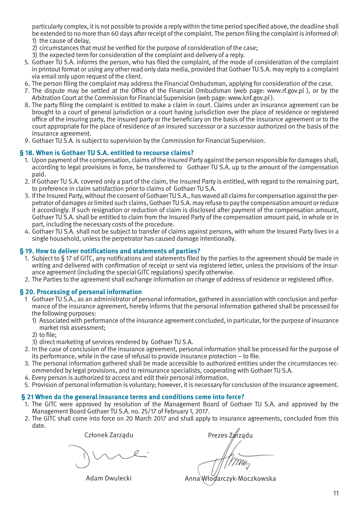particularly complex, it is not possible to provide a reply within the time period specified above, the deadline shall be extended to no more than 60 days after receipt of the complaint. The person filing the complaint is informed of: 1) the cause of delay,

- 2) circumstances that must be verified for the purpose of consideration of the case;
- 3) the expected term for consideration of the complaint and delivery of a reply.
- 5. Gothaer TU S.A. informs the person, who has filed the complaint, of the mode of consideration of the complaint in printout format or using any other read only data media, provided that Gothaer TU S.A. may reply to a complaint via email only upon request of the client.
- 6. The person filing the complaint may address the Financial Ombudsman, applying for consideration of the case.
- 7. The dispute may be settled at the Office of the Financial Ombudsman (web page: www.rf.gov.pl ), or by the Arbitration Court at the Commission for Financial Supervision (web page: www.knf.gov.pl ).
- 8. The party filing the complaint is entitled to make a claim in court. Claims under an insurance agreement can be brought to a court of general jurisdiction or a court having jurisdiction over the place of residence or registered office of the insuring party, the insured party or the beneficiary on the basis of the insurance agreement or to the court appropriate for the place of residence of an insured successor or a successor authorized on the basis of the insurance agreement.
- 9. Gothaer TU S.A. is subject to supervision by the Commission for Financial Supervision.

#### **§ 18. When is Gothaer TU S.A. entitled to recourse claims?**

- 1. Upon payment of the compensation, claims of the Insured Party against the person responsible for damages shall, according to legal provisions in force, be transferred to Gothaer TU S.A. up to the amount of the compensation paid.
- 2. If Gothaer TU S.A. covered only a part of the claim, the Insured Party is entitled, with regard to the remaining part, to preference in claim satisfaction prior to claims of Gothaer TU S.A.
- 3. If the Insured Party, without the consent of Gothaer TU S.A., has waved all claims for compensation against the perpetrator of damages or limited such claims, Gothaer TU S.A. may refuse to pay the compensation amount or reduce it accordingly. If such resignation or reduction of claim is disclosed after payment of the compensation amount, Gothaer TU S.A. shall be entitled to claim from the Insured Party of the compensation amount paid, in whole or in part, including the necessary costs of the procedure.
- 4. Gothaer TU S.A. shall not be subject to transfer of claims against persons, with whom the Insured Party lives in a single household, unless the perpetrator has caused damage intentionally.

#### **§ 19. How to deliver notifications and statements of parties?**

- 1. Subject to § 17 of GITC, any notifications and statements filed by the parties to the agreement should be made in writing and delivered with confirmation of receipt or sent via registered letter, unless the provisions of the insurance agreement (including the special GITC regulations) specify otherwise.
- 2. The Parties to the agreement shall exchange information on change of address of residence or registered office.

### **§ 20. Processing of personal information**

- 1 Gothaer TU S.A., as an administrator of personal information, gathered in association with conclusion and performance of the insurance agreement, hereby informs that the personal information gathered shall be processed for the following purposes:
	- 1) Associated with performance of the insurance agreement concluded, in particular, for the purpose of insurance market risk assessment;
	- 2) to file;
	- 3) direct marketing of services rendered by Gothaer TU S.A.
- 2. In the case of conclusion of the insurance agreement, personal information shall be processed for the purpose of its performance, while in the case of refusal to provide insurance protection – to file.
- 3. The personal information gathered shall be made accessible to authorized entities under the circumstances recommended by legal provisions, and to reinsurance specialists, cooperating with Gothaer TU S.A.
- 4. Every person is authorized to access and edit their personal information.
- 5. Provision of personal information is voluntary; however, it is necessary for conclusion of the insurance agreement.

#### **§ 21 When do the general insurance terms and conditions come into force?**

- 1. The GITC were approved by resolution of the Management Board of Gothaer TU S.A. and approved by the Management Board Gothaer TU S.A. no. 25/17 of February 1, 2017.
- 2. The GITC shall come into force on 20 March 2017 and shall apply to insurance agreements, concluded from this date.

Członek Zarządu

Adam Dwulecki

Prezes Zarządu

Anna Włodarczyk-Moczkowska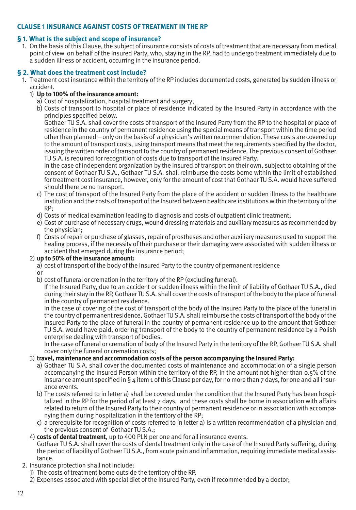# **CLAUSE 1 INSURANCE AGAINST COSTS OF TREATMENT IN THE RP**

# **§ 1. What is the subject and scope of insurance?**

1. On the basis of this Clause, the subject of insurance consists of costs of treatment that are necessary from medical point of view on behalf of the Insured Party, who, staying in the RP, had to undergo treatment immediately due to a sudden illness or accident, occurring in the insurance period.

# **§ 2. What does the treatment cost include?**

1. Treatment cost insurance within the territory of the RP includes documented costs, generated by sudden illness or accident.

# 1) **Up to 100% of the insurance amount:**

- a) Cost of hospitalization, hospital treatment and surgery;
- b) Costs of transport to hospital or place of residence indicated by the Insured Party in accordance with the principles specified below.

Gothaer TU S.A. shall cover the costs of transport of the Insured Party from the RP to the hospital or place of residence in the country of permanent residence using the special means of transport within the time period other than planned – only on the basis of a physician's written recommendation. These costs are covered up to the amount of transport costs, using transport means that meet the requirements specified by the doctor, issuing the written order of transport to the country of permanent residence. The previous consent of Gothaer TU S.A. is required for recognition of costs due to transport of the Insured Party.

 In the case of independent organization by the Insured of transport on their own, subject to obtaining of the consent of Gothaer TU S.A., Gothaer TU S.A. shall reimburse the costs borne within the limit of established for treatment cost insurance, however, only for the amount of cost that Gothaer TU S.A. would have suffered should there be no transport.

- c) The cost of transport of the Insured Party from the place of the accident or sudden illness to the healthcare institution and the costs of transport of the Insured between healthcare institutions within the territory of the RP;
- d) Costs of medical examination leading to diagnosis and costs of outpatient clinic treatment;
- e) Cost of purchase of necessary drugs, wound dressing materials and auxiliary measures as recommended by the physician;
- f) Costs of repair or purchase of glasses, repair of prostheses and other auxiliary measures used to support the healing process, if the necessity of their purchase or their damaging were associated with sudden illness or accident that emerged during the insurance period;

# 2) **up to 50% of the insurance amount:**

- a) cost of transport of the body of the Insured Party to the country of permanent residence
- or
- b) cost of funeral or cremation in the territory of the RP (excluding funeral).

 If the Insured Party, due to an accident or sudden illness within the limit of liability of Gothaer TU S.A., died during their stay in the RP, Gothaer TU S.A. shall cover the costs of transport of the body to the place of funeral in the country of permanent residence.

 In the case of covering of the cost of transport of the body of the Insured Party to the place of the funeral in the country of permanent residence, Gothaer TU S.A. shall reimburse the costs of transport of the body of the Insured Party to the place of funeral in the country of permanent residence up to the amount that Gothaer TU S.A. would have paid, ordering transport of the body to the country of permanent residence by a Polish enterprise dealing with transport of bodies.

 In the case of funeral or cremation of body of the Insured Party in the territory of the RP, Gothaer TU S.A. shall cover only the funeral or cremation costs;

# 3) **travel, maintenance and accommodation costs of the person accompanying the Insured Party:**

- a) Gothaer TU S.A. shall cover the documented costs of maintenance and accommodation of a single person accompanying the Insured Person within the territory of the RP, in the amount not higher than 0.5% of the insurance amount specified in § 4 item 1 of this Clause per day, for no more than 7 days, for one and all insurance events.
- b) The costs referred to in letter a) shall be covered under the condition that the Insured Party has been hospitalized in the RP for the period of at least 7 days, and these costs shall be borne in association with affairs related to return of the Insured Party to their country of permanent residence or in association with accompanying them during hospitalization in the territory of the RP;
- c) a prerequisite for recognition of costs referred to in letter a) is a written recommendation of a physician and the previous consent of Gothaer TU S.A.;
- 4) **costs of dental treatment**, up to 400 PLN per one and for all insurance events.

Gothaer TU S.A. shall cover the costs of dental treatment only in the case of the Insured Party suffering, during the period of liability of Gothaer TU S.A., from acute pain and inflammation, requiring immediate medical assistance.

- 2. Insurance protection shall not include:
	- 1) The costs of treatment borne outside the territory of the RP,
	- 2) Expenses associated with special diet of the Insured Party, even if recommended by a doctor;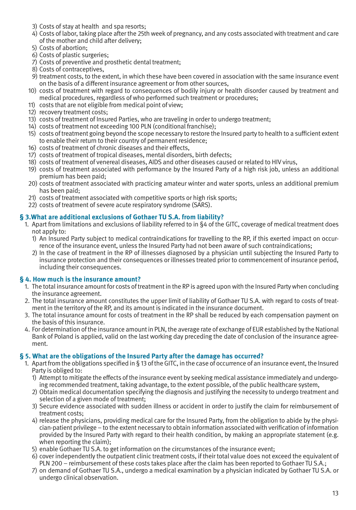- 3) Costs of stay at health and spa resorts;
- 4) Costs of labor, taking place after the 25th week of pregnancy, and any costs associated with treatment and care of the mother and child after delivery;
- 5) Costs of abortion;
- 6) Costs of plastic surgeries;
- 7) Costs of preventive and prosthetic dental treatment;
- 8) Costs of contraceptives,
- 9) treatment costs, to the extent, in which these have been covered in association with the same insurance event on the basis of a different insurance agreement or from other sources,
- 10) costs of treatment with regard to consequences of bodily injury or health disorder caused by treatment and medical procedures, regardless of who performed such treatment or procedures;
- 11) costs that are not eligible from medical point of view;
- 12) recovery treatment costs;
- 13) costs of treatment of Insured Parties, who are traveling in order to undergo treatment;
- 14) costs of treatment not exceeding 100 PLN (conditional franchise);
- 15) costs of treatment going beyond the scope necessary to restore the Insured party to health to a sufficient extent to enable their return to their country of permanent residence;
- 16) costs of treatment of chronic diseases and their effects,
- 17) costs of treatment of tropical diseases, mental disorders, birth defects;
- 18) costs of treatment of venereal diseases, AIDS and other diseases caused or related to HIV virus,
- 19) costs of treatment associated with performance by the Insured Party of a high risk job, unless an additional premium has been paid;
- 20) costs of treatment associated with practicing amateur winter and water sports, unless an additional premium has been paid;
- 21) costs of treatment associated with competitive sports or high risk sports;
- 22) costs of treatment of severe acute respiratory syndrome (SARS).

# **§ 3.What are additional exclusions of Gothaer TU S.A. from liability?**

- 1. Apart from limitations and exclusions of liability referred to in §4 of the GITC, coverage of medical treatment does not apply to:
	- 1) An Insured Party subject to medical contraindications for travelling to the RP, if this exerted impact on occurrence of the insurance event, unless the Insured Party had not been aware of such contraindications;
	- 2) In the case of treatment in the RP of illnesses diagnosed by a physician until subjecting the Insured Party to insurance protection and their consequences or illnesses treated prior to commencement of insurance period, including their consequences.

## **§ 4. How much is the insurance amount?**

- 1. The total insurance amount for costs of treatment in the RP is agreed upon with the Insured Party when concluding the insurance agreement.
- 2. The total insurance amount constitutes the upper limit of liability of Gothaer TU S.A. with regard to costs of treatment in the territory of the RP, and its amount is indicated in the insurance document.
- 3. The total insurance amount for costs of treatment in the RP shall be reduced by each compensation payment on the basis of this insurance.
- 4. For determination of the insurance amount in PLN, the average rate of exchange of EUR established by the National Bank of Poland is applied, valid on the last working day preceding the date of conclusion of the insurance agreement.

## **§ 5. What are the obligations of the Insured Party after the damage has occurred?**

- 1. Apart from the obligations specified in § 13 of the GITC, in the case of occurrence of an insurance event, the Insured Party is obliged to:
	- 1) Attempt to mitigate the effects of the insurance event by seeking medical assistance immediately and undergoing recommended treatment, taking advantage, to the extent possible, of the public healthcare system,
	- 2) Obtain medical documentation specifying the diagnosis and justifying the necessity to undergo treatment and selection of a given mode of treatment;
	- 3) Secure evidence associated with sudden illness or accident in order to justify the claim for reimbursement of treatment costs;
	- 4) release the physicians, providing medical care for the Insured Party, from the obligation to abide by the physician-patient privilege – to the extent necessary to obtain information associated with verification of information provided by the Insured Party with regard to their health condition, by making an appropriate statement (e.g. when reporting the claim);
	- 5) enable Gothaer TU S.A. to get information on the circumstances of the insurance event;
	- 6) cover independently the outpatient clinic treatment costs, if their total value does not exceed the equivalent of PLN 200 – reimbursement of these costs takes place after the claim has been reported to Gothaer TU S.A.;
	- 7) on demand of Gothaer TU S.A., undergo a medical examination by a physician indicated by Gothaer TU S.A. or undergo clinical observation.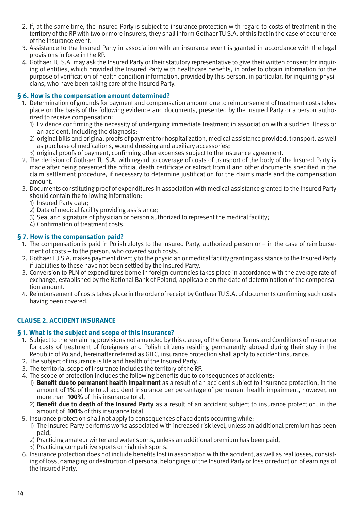- 2. If, at the same time, the Insured Party is subject to insurance protection with regard to costs of treatment in the territory of the RP with two or more insurers, they shall inform Gothaer TU S.A. of this fact in the case of occurrence of the insurance event.
- 3. Assistance to the Insured Party in association with an insurance event is granted in accordance with the legal provisions in force in the RP.
- 4. Gothaer TU S.A. may ask the Insured Party or their statutory representative to give their written consent for inquiring of entities, which provided the Insured Party with healthcare benefits, in order to obtain information for the purpose of verification of health condition information, provided by this person, in particular, for inquiring physicians, who have been taking care of the Insured Party.

## **§ 6. How is the compensation amount determined?**

- 1. Determination of grounds for payment and compensation amount due to reimbursement of treatment costs takes place on the basis of the following evidence and documents, presented by the Insured Party or a person authorized to receive compensation:
	- 1) Evidence confirming the necessity of undergoing immediate treatment in association with a sudden illness or an accident, including the diagnosis;
	- 2) original bills and original proofs of payment for hospitalization, medical assistance provided, transport, as well as purchase of medications, wound dressing and auxiliary accessories;
	- 3) original proofs of payment, confirming other expenses subject to the insurance agreement.
- 2. The decision of Gothaer TU S.A. with regard to coverage of costs of transport of the body of the Insured Party is made after being presented the official death certificate or extract from it and other documents specified in the claim settlement procedure, if necessary to determine justification for the claims made and the compensation amount.
- 3. Documents constituting proof of expenditures in association with medical assistance granted to the Insured Party should contain the following information:
	- 1) Insured Party data;
	- 2) Data of medical facility providing assistance;
	- 3) Seal and signature of physician or person authorized to represent the medical facility;
	- 4) Confirmation of treatment costs.

# **§ 7. How is the compensation paid?**

- 1. The compensation is paid in Polish zlotys to the Insured Party, authorized person or in the case of reimbursement of costs – to the person, who covered such costs.
- 2. Gothaer TU S.A. makes payment directly to the physician or medical facility granting assistance to the Insured Party if liabilities to these have not been settled by the Insured Party.
- 3. Conversion to PLN of expenditures borne in foreign currencies takes place in accordance with the average rate of exchange, established by the National Bank of Poland, applicable on the date of determination of the compensation amount.
- 4. Reimbursement of costs takes place in the order of receipt by Gothaer TU S.A. of documents confirming such costs having been covered.

# **CLAUSE 2. ACCIDENT INSURANCE**

## **§ 1. What is the subject and scope of this insurance?**

- 1. Subject to the remaining provisions not amended by this clause, of the General Terms and Conditions of Insurance for costs of treatment of foreigners and Polish citizens residing permanently abroad during their stay in the Republic of Poland, hereinafter referred as GITC, insurance protection shall apply to accident insurance.
- 2. The subject of insurance is life and health of the Insured Party.
- 3. The territorial scope of insurance includes the territory of the RP.
- 4. The scope of protection includes the following benefits due to consequences of accidents:
	- 1) **Benefit due to permanent health impairment** as a result of an accident subject to insurance protection, in the amount of **1%** of the total accident insurance per percentage of permanent health impairment, however, no more than **100%** of this insurance total,
	- 2) **Benefit due to death of the Insured Party** as a result of an accident subject to insurance protection, in the amount of **100%** of this insurance total.
- 5. Insurance protection shall not apply to consequences of accidents occurring while:
	- 1) The Insured Party performs works associated with increased risk level, unless an additional premium has been paid,
	- 2) Practicing amateur winter and water sports, unless an additional premium has been paid,
	- 3) Practicing competitive sports or high risk sports.
- 6. Insurance protection does not include benefits lost in association with the accident, as well as real losses, consisting of loss, damaging or destruction of personal belongings of the Insured Party or loss or reduction of earnings of the Insured Party.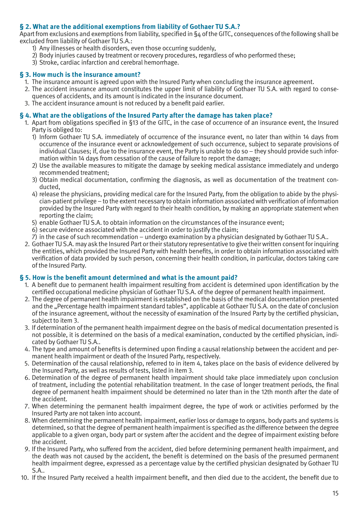# **§ 2. What are the additional exemptions from liability of Gothaer TU S.A.?**

Apart from exclusions and exemptions from liability, specified in §4 of the GITC, consequences of the following shall be excluded from liability of Gothaer TU S.A.:

- 1) Any illnesses or health disorders, even those occurring suddenly,
- 2) Body injuries caused by treatment or recovery procedures, regardless of who performed these;
- 3) Stroke, cardiac infarction and cerebral hemorrhage.

## **§ 3. How much is the insurance amount?**

- 1. The insurance amount is agreed upon with the Insured Party when concluding the insurance agreement.
- 2. The accident insurance amount constitutes the upper limit of liability of Gothaer TU S.A. with regard to consequences of accidents, and its amount is indicated in the insurance document.
- 3. The accident insurance amount is not reduced by a benefit paid earlier.

#### **§ 4. What are the obligations of the Insured Party after the damage has taken place?**

1. Apart from obligations specified in §13 of the GITC, in the case of occurrence of an insurance event, the Insured Party is obliged to:

- 1) Inform Gothaer TU S.A. immediately of occurrence of the insurance event, no later than within 14 days from occurrence of the insurance event or acknowledgement of such occurrence, subject to separate provisions of individual Clauses; if, due to the insurance event, the Party is unable to do so – they should provide such information within 14 days from cessation of the cause of failure to report the damage;
- 2) Use the available measures to mitigate the damage by seeking medical assistance immediately and undergo recommended treatment;
- 3) Obtain medical documentation, confirming the diagnosis, as well as documentation of the treatment conducted,
- 4) release the physicians, providing medical care for the Insured Party, from the obligation to abide by the physician-patient privilege – to the extent necessary to obtain information associated with verification of information provided by the Insured Party with regard to their health condition, by making an appropriate statement when reporting the claim;
- 5) enable Gothaer TU S.A. to obtain information on the circumstances of the insurance event;
- 6) secure evidence associated with the accident in order to justify the claim;
- 7) in the case of such recommendation undergo examination by a physician designated by Gothaer TU S.A..
- 2. Gothaer TU S.A. may ask the Insured Part or their statutory representative to give their written consent for inquiring the entities, which provided the Insured Party with health benefits, in order to obtain information associated with verification of data provided by such person, concerning their health condition, in particular, doctors taking care of the Insured Party.

## **§ 5. How is the benefit amount determined and what is the amount paid?**

- 1. A benefit due to permanent health impairment resulting from accident is determined upon identification by the certified occupational medicine physician of Gothaer TU S.A. of the degree of permanent health impairment.
- 2. The degree of permanent health impairment is established on the basis of the medical documentation presented and the "Percentage health impairment standard tables", applicable at Gothaer TU S.A. on the date of conclusion of the insurance agreement, without the necessity of examination of the Insured Party by the certified physician, subject to item 3.
- 3. If determination of the permanent health impairment degree on the basis of medical documentation presented is not possible, it is determined on the basis of a medical examination, conducted by the certified physician, indicated by Gothaer TU S.A..
- 4. The type and amount of benefits is determined upon finding a causal relationship between the accident and permanent health impairment or death of the Insured Party, respectively.
- 5. Determination of the causal relationship, referred to in item 4, takes place on the basis of evidence delivered by the Insured Party, as well as results of tests, listed in item 3.
- 6. Determination of the degree of permanent health impairment should take place immediately upon conclusion of treatment, including the potential rehabilitation treatment. In the case of longer treatment periods, the final degree of permanent health impairment should be determined no later than in the 12th month after the date of the accident.
- 7. When determining the permanent health impairment degree, the type of work or activities performed by the Insured Party are not taken into account.
- 8. When determining the permanent health impairment, earlier loss or damage to organs, body parts and systems is determined, so that the degree of permanent health impairment is specified as the difference between the degree applicable to a given organ, body part or system after the accident and the degree of impairment existing before the accident.
- 9. If the Insured Party, who suffered from the accident, died before determining permanent health impairment, and the death was not caused by the accident, the benefit is determined on the basis of the presumed permanent health impairment degree, expressed as a percentage value by the certified physician designated by Gothaer TU S.A..
- 10. If the Insured Party received a health impairment benefit, and then died due to the accident, the benefit due to